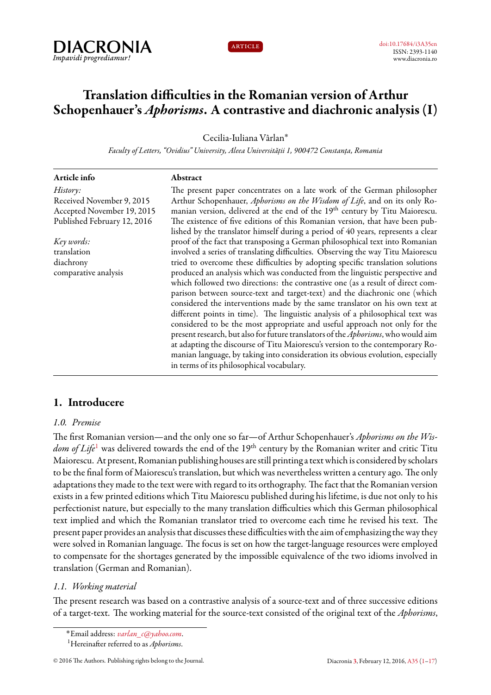



# **Translation difficulties in the Romanian version of Arthur Schopenhauer's** *Aphorisms***. A contrastive and diachronic analysis (I)**

Cecilia-Iuliana Vârlan˚

*Faculty of Letters, "Ovidius" University, Aleea Universității 1, 900472 Constanța, Romania*

| Article info                | Abstract                                                                                  |
|-----------------------------|-------------------------------------------------------------------------------------------|
| History:                    | The present paper concentrates on a late work of the German philosopher                   |
| Received November 9, 2015   | Arthur Schopenhauer, Aphorisms on the Wisdom of Life, and on its only Ro-                 |
| Accepted November 19, 2015  | manian version, delivered at the end of the 19 <sup>th</sup> century by Titu Maiorescu.   |
| Published February 12, 2016 | The existence of five editions of this Romanian version, that have been pub-              |
|                             | lished by the translator himself during a period of 40 years, represents a clear          |
| Key words:                  | proof of the fact that transposing a German philosophical text into Romanian              |
| translation                 | involved a series of translating difficulties. Observing the way Titu Maiorescu           |
| diachrony                   | tried to overcome these difficulties by adopting specific translation solutions           |
| comparative analysis        | produced an analysis which was conducted from the linguistic perspective and              |
|                             | which followed two directions: the contrastive one (as a result of direct com-            |
|                             | parison between source-text and target-text) and the diachronic one (which                |
|                             | considered the interventions made by the same translator on his own text at               |
|                             | different points in time). The linguistic analysis of a philosophical text was            |
|                             | considered to be the most appropriate and useful approach not only for the                |
|                             | present research, but also for future translators of the <i>Aphorisms</i> , who would aim |
|                             | at adapting the discourse of Titu Maiorescu's version to the contemporary Ro-             |
|                             | manian language, by taking into consideration its obvious evolution, especially           |
|                             | in terms of its philosophical vocabulary.                                                 |
|                             |                                                                                           |

# <span id="page-0-0"></span>**1. Introducere**

# *1.0. Premise*

The first Romanian version—and the only one so far—of Arthur Schopenhauer's *Aphorisms on the Wisdom of Life*<sup>[1](#page-0-1)</sup> was delivered towards the end of the 19<sup>th</sup> century by the Romanian writer and critic Titu Maiorescu. At present, Romanian publishing houses are still printing a text which is considered by scholars to be the final form of Maiorescu's translation, but which was nevertheless written a century ago. The only adaptations they made to the text were with regard to its orthography. The fact that the Romanian version exists in a few printed editions which Titu Maiorescu published during his lifetime, is due not only to his perfectionist nature, but especially to the many translation difficulties which this German philosophical text implied and which the Romanian translator tried to overcome each time he revised his text. The present paper provides an analysis that discusses these difficulties with the aim of emphasizing the way they were solved in Romanian language. The focus is set on how the target-language resources were employed to compensate for the shortages generated by the impossible equivalence of the two idioms involved in translation (German and Romanian).

# *1.1. Working material*

The present research was based on a contrastive analysis of a source-text and of three successive editions of a target-text. The working material for the source-text consisted of the original text of the *Aphorisms*,

<sup>˚</sup>Email address: *[varlan\\_c@yahoo.com](mailto:varlan_c@yahoo.com)*.

<span id="page-0-1"></span><sup>1</sup>Hereinafter referred to as *Aphorisms*.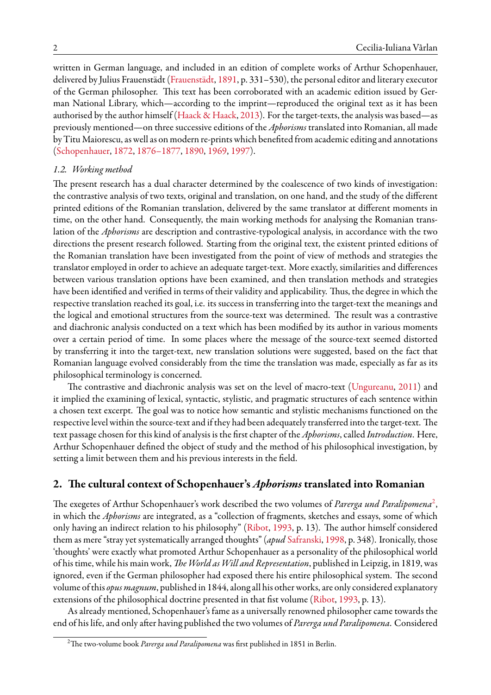written in German language, and included in an edition of complete works of Arthur Schopenhauer, delivered by Julius Frauenstädt([Frauenstädt,](#page-15-1) [1891](#page-15-1), p. 331–530), the personal editor and literary executor of the German philosopher. This text has been corroborated with an academic edition issued by German National Library, which—according to the imprint—reproduced the original text as it has been authorised by the author himself([Haack & Haack,](#page-15-2) [2013\)](#page-15-2). For the target-texts, the analysis was based—as previously mentioned—on three successive editions of the *Aphorisms* translated into Romanian, all made by Titu Maiorescu, as well as on modern re-prints which benefited from academic editing and annotations ([Schopenhauer](#page-16-0), [1872](#page-16-0), [1876–1877](#page-16-1), [1890](#page-16-2), [1969](#page-16-3), [1997](#page-16-4)).

#### *1.2. Working method*

The present research has a dual character determined by the coalescence of two kinds of investigation: the contrastive analysis of two texts, original and translation, on one hand, and the study of the different printed editions of the Romanian translation, delivered by the same translator at different moments in time, on the other hand. Consequently, the main working methods for analysing the Romanian translation of the *Aphorisms* are description and contrastive-typological analysis, in accordance with the two directions the present research followed. Starting from the original text, the existent printed editions of the Romanian translation have been investigated from the point of view of methods and strategies the translator employed in order to achieve an adequate target-text. More exactly, similarities and differences between various translation options have been examined, and then translation methods and strategies have been identified and verified in terms of their validity and applicability. Thus, the degree in which the respective translation reached its goal, i.e. its success in transferring into the target-text the meanings and the logical and emotional structures from the source-text was determined. The result was a contrastive and diachronic analysis conducted on a text which has been modified by its author in various moments over a certain period of time. In some places where the message of the source-text seemed distorted by transferring it into the target-text, new translation solutions were suggested, based on the fact that Romanian language evolved considerably from the time the translation was made, especially as far as its philosophical terminology is concerned.

The contrastive and diachronic analysis was set on the level of macro-text [\(Ungureanu](#page-16-5), [2011](#page-16-5)) and it implied the examining of lexical, syntactic, stylistic, and pragmatic structures of each sentence within a chosen text excerpt. The goal was to notice how semantic and stylistic mechanisms functioned on the respective level within the source-text and if they had been adequately transferred into the target-text. The text passage chosen for this kind of analysis is the first chapter of the *Aphorisms*, called *Introduction*. Here, Arthur Schopenhauer defined the object of study and the method of his philosophical investigation, by setting a limit between them and his previous interests in the field.

## **2. The cultural context of Schopenhauer's** *Aphorisms* **translated into Romanian**

The exegetes of Arthur Schopenhauer's work described the two volumes of *Parerga und Paralipomena*[2](#page-1-0) , in which the *Aphorisms* are integrated, as a "collection of fragments, sketches and essays, some of which only having an indirect relation to his philosophy" [\(Ribot,](#page-16-6) [1993](#page-16-6), p. 13). The author himself considered them as mere "stray yet systematically arranged thoughts" (*apud* [Safranski,](#page-16-7) [1998,](#page-16-7) p. 348). Ironically, those 'thoughts' were exactly what promoted Arthur Schopenhauer as a personality of the philosophical world of his time, while his main work, *The World as Will and Representation*, published in Leipzig, in 1819, was ignored, even if the German philosopher had exposed there his entire philosophical system. The second volume of this *opus magnum*, published in 1844, along all his other works, are only considered explanatory extensions of the philosophical doctrine presented in that fist volume([Ribot](#page-16-6), [1993](#page-16-6), p. 13).

As already mentioned, Schopenhauer's fame as a universally renowned philosopher came towards the end of his life, and only after having published the two volumes of *Parerga und Paralipomena*. Considered

<span id="page-1-0"></span><sup>&</sup>lt;sup>2</sup>The two-volume book *Parerga und Paralipomena* was first published in 1851 in Berlin.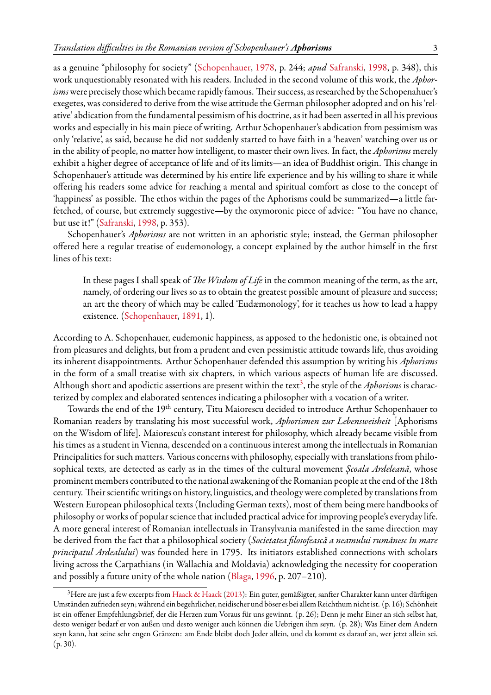as a genuine "philosophy for society"([Schopenhauer](#page-16-8), [1978,](#page-16-8) p. 244; *apud* [Safranski,](#page-16-7) [1998,](#page-16-7) p. 348), this work unquestionably resonated with his readers. Included in the second volume of this work, the *Aphor*isms were precisely those which became rapidly famous. Their success, as researched by the Schopenahuer's exegetes, was considered to derive from the wise attitude the German philosopher adopted and on his 'relative' abdication from the fundamental pessimism of his doctrine, as it had been asserted in all his previous works and especially in his main piece of writing. Arthur Schopenhauer's abdication from pessimism was only 'relative', as said, because he did not suddenly started to have faith in a 'heaven' watching over us or in the ability of people, no matter how intelligent, to master their own lives. In fact, the *Aphorisms* merely exhibit a higher degree of acceptance of life and of its limits—an idea of Buddhist origin. This change in Schopenhauer's attitude was determined by his entire life experience and by his willing to share it while offering his readers some advice for reaching a mental and spiritual comfort as close to the concept of 'happiness' as possible. The ethos within the pages of the Aphorisms could be summarized—a little farfetched, of course, but extremely suggestive—by the oxymoronic piece of advice: "You have no chance, but use it!"([Safranski,](#page-16-7) [1998,](#page-16-7) p. 353).

Schopenhauer's *Aphorisms* are not written in an aphoristic style; instead, the German philosopher offered here a regular treatise of eudemonology, a concept explained by the author himself in the first lines of his text:

In these pages I shall speak of *The Wisdom of Life* in the common meaning of the term, as the art, namely, of ordering our lives so as to obtain the greatest possible amount of pleasure and success; an art the theory of which may be called 'Eudæmonology', for it teaches us how to lead a happy existence.([Schopenhauer](#page-16-9), [1891](#page-16-9), 1).

According to A. Schopenhauer, eudemonic happiness, as apposed to the hedonistic one, is obtained not from pleasures and delights, but from a prudent and even pessimistic attitude towards life, thus avoiding its inherent disappointments. Arthur Schopenhauer defended this assumption by writing his *Aphorisms* in the form of a small treatise with six chapters, in which various aspects of human life are discussed. Although short and apodictic assertions are present within the text<sup>[3](#page-2-0)</sup>, the style of the Aphorisms is characterized by complex and elaborated sentences indicating a philosopher with a vocation of a writer.

Towards the end of the 19th century, Titu Maiorescu decided to introduce Arthur Schopenhauer to Romanian readers by translating his most successful work, *Aphorismen zur Lebensweisheit* [Aphorisms on the Wisdom of life]. Maiorescu's constant interest for philosophy, which already became visible from his times as a student in Vienna, descended on a continuous interest among the intellectuals in Romanian Principalities for such matters. Various concerns with philosophy, especially with translations from philosophical texts, are detected as early as in the times of the cultural movement *Şcoala Ardeleană*, whose prominent members contributed to the national awakening of the Romanian people at the end of the 18th century. Their scientific writings on history, linguistics, and theology were completed by translations from Western European philosophical texts (Including German texts), most of them being mere handbooks of philosophy or works of popular science that included practical advice for improving people's everyday life. A more general interest of Romanian intellectuals in Transylvania manifested in the same direction may be derived from the fact that a philosophical society (*Societatea filosofească a neamului rumânesc în mare principatul Ardealului*) was founded here in 1795. Its initiators established connections with scholars living across the Carpathians (in Wallachia and Moldavia) acknowledging the necessity for cooperation and possibly a future unity of the whole nation [\(Blaga,](#page-15-3) [1996,](#page-15-3) p. 207–210).

<span id="page-2-0"></span><sup>3</sup>Here are just a few excerpts from [Haack & Haack](#page-15-2) [\(2013\)](#page-15-2): Ein guter, gemäßigter, sanfter Charakter kann unter dürftigen Umständen zufrieden seyn; während ein begehrlicher, neidischer und böser es bei allem Reichthum nicht ist. (p. 16); Schönheit ist ein offener Empfehlungsbrief, der die Herzen zum Voraus für uns gewinnt. (p. 26); Denn je mehr Einer an sich selbst hat, desto weniger bedarf er von außen und desto weniger auch können die Uebrigen ihm seyn. (p. 28); Was Einer dem Andern seyn kann, hat seine sehr engen Gränzen: am Ende bleibt doch Jeder allein, und da kommt es darauf an, wer jetzt allein sei. (p. 30).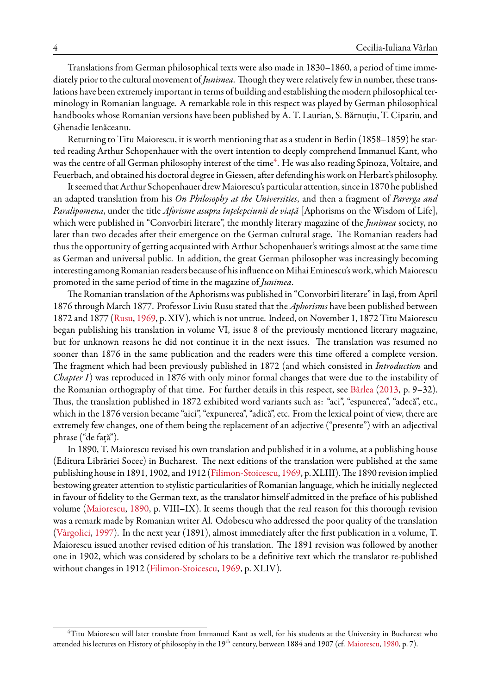Translations from German philosophical texts were also made in 1830–1860, a period of time immediately prior to the cultural movement of *Junimea*. Though they were relatively few in number, these translations have been extremely important in terms of building and establishing the modern philosophical terminology in Romanian language. A remarkable role in this respect was played by German philosophical handbooks whose Romanian versions have been published by A. T. Laurian, S. Bărnuţiu, T. Cipariu, and Ghenadie Ienăceanu.

Returning to Titu Maiorescu, it is worth mentioning that as a student in Berlin (1858–1859) he started reading Arthur Schopenhauer with the overt intention to deeply comprehend Immanuel Kant, who was the centre of all German philosophy interest of the time $\rm ^4.$  $\rm ^4.$  $\rm ^4.$  He was also reading Spinoza, Voltaire, and Feuerbach, and obtained his doctoral degree in Giessen, after defending his work on Herbart's philosophy.

It seemed thatArthur Schopenhauer drewMaiorescu's particular attention, since in 1870 he published an adapted translation from his *On Philosophy at the Universities*, and then a fragment of *Parerga and Paralipomena*, under the title *Aforisme asupra înţelepciunii de viaţă* [Aphorisms on the Wisdom of Life], which were published in "Convorbiri literare", the monthly literary magazine of the *Junimea* society, no later than two decades after their emergence on the German cultural stage. The Romanian readers had thus the opportunity of getting acquainted with Arthur Schopenhauer's writings almost at the same time as German and universal public. In addition, the great German philosopher was increasingly becoming interesting among Romanian readers because of his influence on Mihai Eminescu's work, which Maiorescu promoted in the same period of time in the magazine of *Junimea*.

The Romanian translation of the Aphorisms was published in "Convorbiri literare" in Iaşi, from April 1876 through March 1877. Professor Liviu Rusu stated that the *Aphorisms* have been published between 1872 and 1877 [\(Rusu](#page-16-10), [1969,](#page-16-10) p. XIV), which is not untrue. Indeed, on November 1, 1872 Titu Maiorescu began publishing his translation in volume VI, issue 8 of the previously mentioned literary magazine, but for unknown reasons he did not continue it in the next issues. The translation was resumed no sooner than 1876 in the same publication and the readers were this time offered a complete version. The fragment which had been previously published in 1872 (and which consisted in *Introduction* and *Chapter I*) was reproduced in 1876 with only minor formal changes that were due to the instability of the Romanian orthography of that time. For further details in this respect, see [Bârlea](#page-15-4) [\(2013](#page-15-4), p. 9–32). Thus, the translation published in 1872 exhibited word variants such as: "aci", "espunerea", "adecă", etc., which in the 1876 version became "aici", "expunerea", "adică", etc. From the lexical point of view, there are extremely few changes, one of them being the replacement of an adjective ("presente") with an adjectival phrase ("de față").

In 1890, T. Maiorescu revised his own translation and published it in a volume, at a publishing house (Editura Librăriei Socec) in Bucharest. The next editions of the translation were published at the same publishing house in 1891, 1902, and 1912([Filimon-Stoicescu](#page-15-5), [1969,](#page-15-5) p. XLIII).The 1890 revision implied bestowing greater attention to stylistic particularities of Romanian language, which he initially neglected in favour of fidelity to the German text, as the translator himself admitted in the preface of his published volume([Maiorescu,](#page-16-11) [1890,](#page-16-11) p. VIII–IX). It seems though that the real reason for this thorough revision was a remark made by Romanian writer Al. Odobescu who addressed the poor quality of the translation ([Vârgolici,](#page-16-12) [1997](#page-16-12)). In the next year (1891), almost immediately after the first publication in a volume, T. Maiorescu issued another revised edition of his translation. The 1891 revision was followed by another one in 1902, which was considered by scholars to be a definitive text which the translator re-published without changes in 1912([Filimon-Stoicescu,](#page-15-5) [1969,](#page-15-5) p. XLIV).

<span id="page-3-0"></span><sup>4</sup>Titu Maiorescu will later translate from Immanuel Kant as well, for his students at the University in Bucharest who attended his lectures on History of philosophy in the 19<sup>th</sup> century, between 1884 and 1907 (cf. [Maiorescu](#page-16-13), [1980,](#page-16-13) p. 7).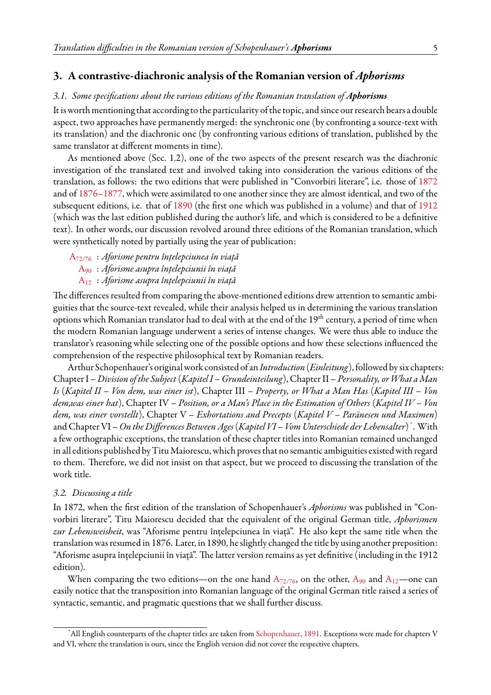#### **3. A contrastive-diachronic analysis of the Romanian version of** *Aphorisms*

#### *3.1. Some specifications about the various editions of the Romanian translation of Aphorisms*

It is worth mentioning that according to the particularity of the topic, and since our research bears a double aspect, two approaches have permanently merged: the synchronic one (by confronting a source-text with its translation) and the diachronic one (by confronting various editions of translation, published by the same translator at different moments in time).

As mentioned above (Sec. 1.2), one of the two aspects of the present research was the diachronic investigation of the translated text and involved taking into consideration the various editions of the translation, as follows: the two editions that were published in "Convorbiri literare", i.e. those of [1872](#page-16-0) and of [1876–1877](#page-16-1), which were assimilated to one another since they are almost identical, and two of the subsequent editions, i.e. that of [1890](#page-16-2) (the first one which was published in a volume) and that of [1912](#page-16-14) (which was the last edition published during the author's life, and which is considered to be a definitive text). In other words, our discussion revolved around three editions of the Romanian translation, which were synthetically noted by partially using the year of publication:

- A[72/76](#page-16-0) : *Aforisme pentru înțelepciunea în viață*
	- [A](#page-16-2)<sup>90</sup> : *Aforisme asupra înțelepciunii în viață*
	- [A](#page-16-14)<sup>12</sup> : *Aforisme asupra înțelepciunii în viață*

The differences resulted from comparing the above-mentioned editions drew attention to semantic ambiguities that the source-text revealed, while their analysis helped us in determining the various translation options which Romanian translator had to deal with at the end of the 19<sup>th</sup> century, a period of time when the modern Romanian language underwent a series of intense changes. We were thus able to induce the translator's reasoning while selecting one of the possible options and how these selections influenced the comprehension of the respective philosophical text by Romanian readers.

Arthur Schopenhauer's original work consisted of an *Introduction* (*Einleitung*),followed by six chapters: Chapter I – *Division of the Subject* (*Kapitel I – Grundeinteilung*), Chapter II – *Personality, orWhat a Man Is* (*Kapitel II – Von dem, was einer ist*), Chapter III – *Property, or What a Man Has* (*Kapitel III – Von dem,was einer hat*), Chapter IV – *Position, or a Man's Place in the Estimation of Others* (*Kapitel IV – Von dem, was einer vorstellt*), Chapter V – *Exhortations and Precepts* (*Kapitel V – Paränesen und Maximen*) and Chapter VI –*On the Differences Between Ages*(*Kapitel VI – Vom Unterschiede der Lebensalter*) [\\*](#page-4-0) . With a few orthographic exceptions, the translation of these chapter titles into Romanian remained unchanged in all editions published by Titu Maiorescu, which proves that no semantic ambiguities existed with regard to them. Therefore, we did not insist on that aspect, but we proceed to discussing the translation of the work title.

#### *3.2. Discussing a title*

In 1872, when the first edition of the translation of Schopenhauer's *Aphorisms* was published in "Convorbiri literare", Titu Maiorescu decided that the equivalent of the original German title, *Aphorismen zur Lebensweisheit*, was "Aforisme pentru înțelepciunea în viață". He also kept the same title when the translation was resumed in 1876. Later, in 1890, he slightly changed the title by using another preposition: "Aforisme asupra înțelepciunii în viață". The latter version remains as yet definitive (including in the 1912 edition).

When comparing the two editions—on the one hand  $A_{72/76}$  $A_{72/76}$  $A_{72/76}$ , on the other,  $A_{90}$  $A_{90}$  and  $A_{12}$ —one can easily notice that the transposition into Romanian language of the original German title raised a series of syntactic, semantic, and pragmatic questions that we shall further discuss.

<span id="page-4-0"></span>All English counterparts of the chapter titles are taken from [Schopenhauer](#page-16-9), [1891.](#page-16-9) Exceptions were made for chapters V and VI, where the translation is ours, since the English version did not cover the respective chapters.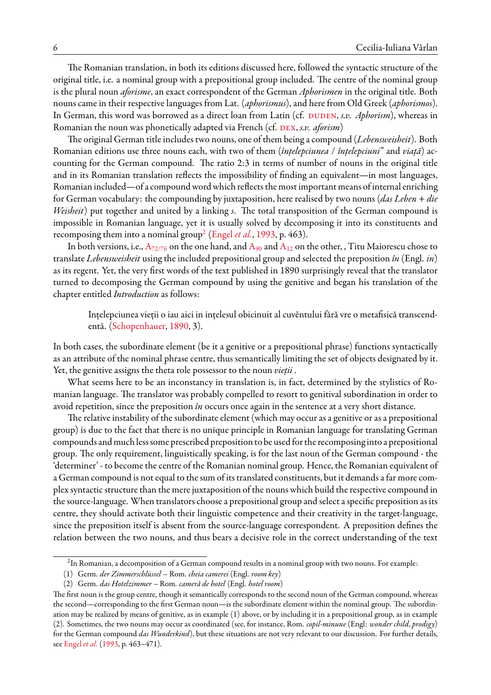The Romanian translation, in both its editions discussed here, followed the syntactic structure of the original title, i.e. a nominal group with a prepositional group included. The centre of the nominal group is the plural noun *aforisme*, an exact correspondent of the German *Aphorismen* in the original title. Both nouns came in their respective languages from Lat. (*aphorismus*), and here from Old Greek (*aphorismos*). In German, this word was borrowed as a direct loan from Latin (cf. DUDEN, *s.v. Aphorism*), whereas in Romanian the noun was phonetically adapted via French (cf. DEX, *s.v. aforism*)

The original German title includes two nouns, one of them being a compound (*Lebensweisheit*). Both Romanian editions use three nouns each, with two of them (*înţelepciunea* / *înţelepciuni"* and *viaţă*) accounting for the German compound. The ratio 2:3 in terms of number of nouns in the original title and in its Romanian translation reflects the impossibility of finding an equivalent—in most languages, Romanian included—of a compound word which reflects the most important means of internal enriching for German vocabulary: the compounding by juxtaposition, here realised by two nouns (*das Leben* + *die Weisheit*) put together and united by a linking *s*. The total transposition of the German compound is impossible in Romanian language, yet it is usually solved by decomposing it into its constituents and recomposing them into a nominal group<sup>[2](#page-5-0)</sup> ([Engel](#page-15-8) *et al.*, [1993,](#page-15-8) p. 463).

In both versions, i.e.,  $A_{72/76}$  $A_{72/76}$  $A_{72/76}$  on the one hand, and  $A_{90}$  $A_{90}$  and  $A_{12}$  on the other, , Titu Maiorescu chose to translate *Lebensweisheit* using the included prepositional group and selected the preposition *în* (Engl. *in*) as its regent. Yet, the very first words of the text published in 1890 surprisingly reveal that the translator turned to decomposing the German compound by using the genitive and began his translation of the chapter entitled *Introduction* as follows:

Ințelepciunea vieții o iau aici in ințelesul obicinuit al cuvěntului fără vre o metafisică transcendentă. [\(Schopenhauer,](#page-16-2) [1890,](#page-16-2) 3).

In both cases, the subordinate element (be it a genitive or a prepositional phrase) functions syntactically as an attribute of the nominal phrase centre, thus semantically limiting the set of objects designated by it. Yet, the genitive assigns the theta role possessor to the noun *vieții* .

What seems here to be an inconstancy in translation is, in fact, determined by the stylistics of Romanian language. The translator was probably compelled to resort to genitival subordination in order to avoid repetition, since the preposition *în* occurs once again in the sentence at a very short distance.

The relative instability of the subordinate element (which may occur as a genitive or as a prepositional group) is due to the fact that there is no unique principle in Romanian language for translating German compounds and much less some prescribed preposition to be usedfor the recomposing into a prepositional group. The only requirement, linguistically speaking, is for the last noun of the German compound - the 'determiner' - to become the centre of the Romanian nominal group. Hence, the Romanian equivalent of a German compound is not equal to the sum of its translated constituents, but it demands a far more complex syntactic structure than the mere juxtaposition of the nouns which build the respective compound in the source-language. When translators choose a prepositional group and select a specific preposition as its centre, they should activate both their linguistic competence and their creativity in the target-language, since the preposition itself is absent from the source-language correspondent. A preposition defines the relation between the two nouns, and thus bears a decisive role in the correct understanding of the text

<span id="page-5-0"></span> $^2$ In Romanian, a decomposition of a German compound results in a nominal group with two nouns. For example:

<sup>(1)</sup> Germ. *der Zimmerschlüssel* – Rom. *cheia camerei* (Engl. *room key*)

<sup>(2)</sup> Germ. *das Hotelzimmer* – Rom. *cameră de hotel* (Engl. *hotel room*)

The first noun is the group centre, though it semantically corresponds to the second noun of the German compound, whereas the second—corresponding to the first German noun—is the subordinate element within the nominal group. The subordination may be realized by means of genitive, as in example (1) above, or by including it in a prepositional group, as in example (2). Sometimes, the two nouns may occur as coordinated (see, for instance, Rom. *copil-minune* (Engl: *wonder child*, *prodigy*) for the German compound *das Wunderkind*), but these situations are not very relevant to our discussion. For further details, see [Engel](#page-15-8) *et al.* ([1993](#page-15-8), p. 463–471).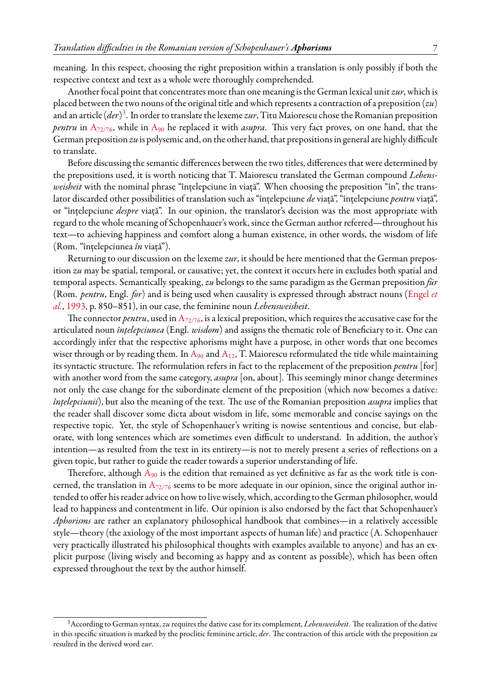meaning. In this respect, choosing the right preposition within a translation is only possibly if both the respective context and text as a whole were thoroughly comprehended.

Another focal point that concentrates more than one meaning is the German lexical unit *zur*, which is placed between the two nouns of the original title and which represents a contraction of a preposition (*zu*) and an article (*der*)<sup>[3](#page-6-0)</sup>. In order to translate the lexeme *zur*, Titu Maiorescu chose the Romanian preposition *pentru* in A<sub>[72/76](#page-16-0)</sub>, while in [A](#page-16-2)<sub>90</sub> he replaced it with *asupra*. This very fact proves, on one hand, that the German preposition *zu* is polysemic and, on the other hand, that prepositions in general are highly difficult to translate.

Before discussing the semantic differences between the two titles, differences that were determined by the prepositions used, it is worth noticing that T. Maiorescu translated the German compound *Lebensweisheit* with the nominal phrase "înțelepciune în viață". When choosing the preposition "în", the translator discarded other possibilities of translation such as "înțelepciune *de* viață", "înțelepciune *pentru* viață", or "înțelepciune *despre* viață". In our opinion, the translator's decision was the most appropriate with regard to the whole meaning of Schopenhauer's work, since the German author referred—throughout his text—to achieving happiness and comfort along a human existence, in other words, the wisdom of life (Rom. "înțelepciunea*în* viață").

Returning to our discussion on the lexeme *zur*, it should be here mentioned that the German preposition *zu* may be spatial, temporal, or causative; yet, the context it occurs here in excludes both spatial and temporal aspects. Semantically speaking, *zu* belongs to the same paradigm as the German preposition *für* (Rom. *pentru*, Engl. *for*) and is being used when causality is expressed through abstract nouns([Engel](#page-15-8) *et [al.](#page-15-8)*, [1993,](#page-15-8) p. 850–851), in our case, the feminine noun *Lebensweisheit*.

The connector *pentru*, used in  $A_{72/76}$  $A_{72/76}$  $A_{72/76}$ , is a lexical preposition, which requires the accusative case for the articulated noun *înţelepciunea* (Engl. *wisdom*) and assigns the thematic role of Beneficiary to it. One can accordingly infer that the respective aphorisms might have a purpose, in other words that one becomes wiser through or by reading them. In  $A_{90}$  $A_{90}$  and  $A_{12}$ , T. Maiorescu reformulated the title while maintaining its syntactic structure. The reformulation refers in fact to the replacement of the preposition *pentru* [for] with another word from the same category, *asupra* [on, about]. This seemingly minor change determines not only the case change for the subordinate element of the preposition (which now becomes a dative: *înțelepciunii*), but also the meaning of the text. The use of the Romanian preposition *asupra* implies that the reader shall discover some dicta about wisdom in life, some memorable and concise sayings on the respective topic. Yet, the style of Schopenhauer's writing is nowise sententious and concise, but elaborate, with long sentences which are sometimes even difficult to understand. In addition, the author's intention—as resulted from the text in its entirety—is not to merely present a series of reflections on a given topic, but rather to guide the reader towards a superior understanding of life.

Therefore, although  $A_{90}$  $A_{90}$  is the edition that remained as yet definitive as far as the work title is concerned, the translation in  $A_{72/76}$  $A_{72/76}$  $A_{72/76}$  seems to be more adequate in our opinion, since the original author intended to offer his reader advice on how to live wisely, which, according to the German philosopher, would lead to happiness and contentment in life. Our opinion is also endorsed by the fact that Schopenhauer's *Aphorisms* are rather an explanatory philosophical handbook that combines—in a relatively accessible style—theory (the axiology of the most important aspects of human life) and practice (A. Schopenhauer very practically illustrated his philosophical thoughts with examples available to anyone) and has an explicit purpose (living wisely and becoming as happy and as content as possible), which has been often expressed throughout the text by the author himself.

<span id="page-6-0"></span><sup>3</sup>According to German syntax, *zu* requires the dative case for its complement, *Lebensweisheit*. The realization of the dative in this specific situation is marked by the proclitic feminine article, *der*. The contraction of this article with the preposition *zu* resulted in the derived word *zur*.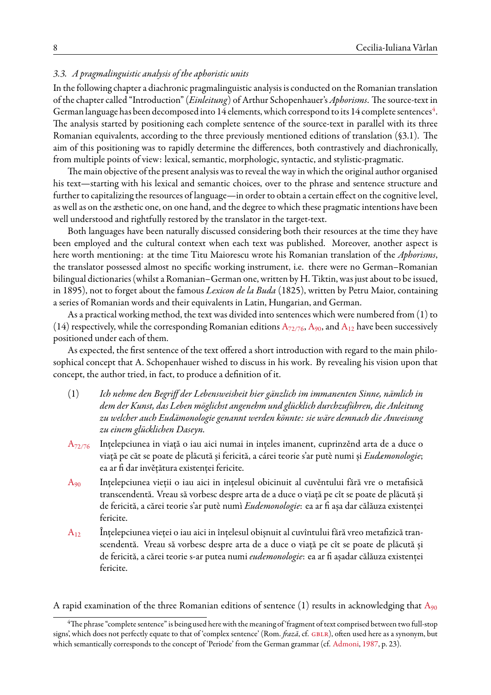## *3.3. A pragmalinguistic analysis of the aphoristic units*

In the following chapter a diachronic pragmalinguistic analysis is conducted on the Romanian translation of the chapter called "Introduction" (*Einleitung*) of Arthur Schopenhauer's *Aphorisms*. The source-text in German language has been decomposed into 1[4](#page-7-0) elements, which correspond to its 14 complete sentences $^4$ . The analysis started by positioning each complete sentence of the source-text in parallel with its three Romanian equivalents, according to the three previously mentioned editions of translation (§3.1). The aim of this positioning was to rapidly determine the differences, both contrastively and diachronically, from multiple points of view: lexical, semantic, morphologic, syntactic, and stylistic-pragmatic.

The main objective of the present analysis was to reveal the way in which the original author organised his text—starting with his lexical and semantic choices, over to the phrase and sentence structure and further to capitalizing the resources of language—in order to obtain a certain effect on the cognitive level, as well as on the æsthetic one, on one hand, and the degree to which these pragmatic intentions have been well understood and rightfully restored by the translator in the target-text.

Both languages have been naturally discussed considering both their resources at the time they have been employed and the cultural context when each text was published. Moreover, another aspect is here worth mentioning: at the time Titu Maiorescu wrote his Romanian translation of the *Aphorisms*, the translator possessed almost no specific working instrument, i.e. there were no German–Romanian bilingual dictionaries (whilst a Romanian–German one, written by H. Tiktin, was just about to be issued, in 1895), not to forget about the famous *Lexicon de la Buda* (1825), written by Petru Maior, containing a series of Romanian words and their equivalents in Latin, Hungarian, and German.

As a practical working method, the text was divided into sentences which were numbered from (1) to (14) respectively, while the corresponding Romanian editions  $A_{72/76}$  $A_{72/76}$  $A_{72/76}$ ,  $A_{90}$  $A_{90}$ , and  $A_{12}$  have been successively positioned under each of them.

As expected, the first sentence of the text offered a short introduction with regard to the main philosophical concept that A. Schopenhauer wished to discuss in his work. By revealing his vision upon that concept, the author tried, in fact, to produce a definition of it.

- (1) *Ich nehme den Begriff der Lebensweisheit hier gänzlich im immanenten Sinne, nämlich in dem der Kunst, das Leben möglichst angenehm und glücklich durchzuführen, die Anleitung zu welcher auch Eudämonologie genannt werden könnte: sie wäre demnach die Anweisung zu einem glücklichen Daseyn.*
- A<sub>[72/76](#page-16-0)</sub> Ințelepciunea in viață o iau aici numai in ințeles imanent, cuprinzěnd arta de a duce o viață pe căt se poate de plăcută și fericită, a cárei teorie s'ar putè numi și *Eudæmonologie*; ea ar fi dar invěțătura existenței fericite.
- [A](#page-16-2)<sup>90</sup> Ințelepciunea vieții o iau aici in ințelesul obicinuit al cuvěntului fără vre o metafisică transcendentă. Vreau să vorbesc despre arta de a duce o viață pe cît se poate de plăcută și de fericită, a cărei teorie s'ar putè numì *Eudemonologie*: ea ar fi așa dar călăuza existenței fericite.
- $A_{12}$  $A_{12}$  Înțelepciunea vieței o iau aici in înțelesul obișnuit al cuvîntului fără vreo metafizică transcendentă. Vreau să vorbesc despre arta de a duce o viață pe cît se poate de plăcută și de fericită, a cărei teorie s-ar putea numi *eudemonologie*: ea ar fi așadar călăuza existenței fericite.

[A](#page-16-2) rapid examination of the three Romanian editions of sentence (1) results in acknowledging that  $A_{90}$ 

<span id="page-7-0"></span><sup>&</sup>lt;sup>4</sup>The phrase "complete sentence" is being used here with the meaning of 'fragment of text comprised between two full-stop signs', which does not perfectly equate to that of 'complex sentence' (Rom. *frază*, cf. GBLR), often used here as a synonym, but which semantically corresponds to the concept of 'Periode' from the German grammar (cf. [Admoni](#page-15-10), [1987,](#page-15-10) p. 23).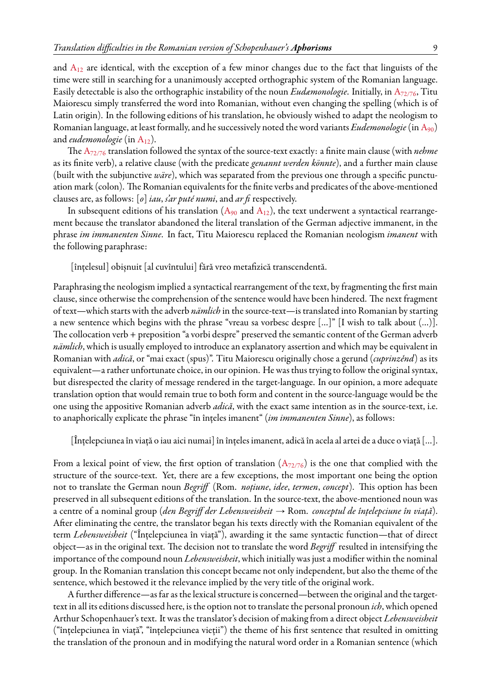and  $A_{12}$  $A_{12}$  are identical, with the exception of a few minor changes due to the fact that linguists of the time were still in searching for a unanimously accepted orthographic system of the Romanian language. Easily detectable is also the orthographic instability of the noun *Eudæmonologie*. Initially, in A[72/76](#page-16-0), Titu Maiorescu simply transferred the word into Romanian, without even changing the spelling (which is of Latin origin). In the following editions of his translation, he obviously wished to adapt the neologism to Romanian language, at least formally, and he successively noted the word variants *Eudemonologie*(in[A](#page-16-2)90) and *eudemonologie* (in [A](#page-16-14)<sub>12</sub>).

The A[72/76](#page-16-0) translation followed the syntax of the source-text exactly: a finite main clause (with *nehme* as its finite verb), a relative clause (with the predicate *genannt werden könnte*), and a further main clause (built with the subjunctive *wäre*), which was separated from the previous one through a specific punctuation mark (colon). The Romanian equivalents for the finite verbs and predicates of the above-mentioned clauses are, as follows: [*o*] *iau*, *s'ar puté numi*, and *ar fi* respectively.

Insubsequent editions of his translation  $(A_{90}$  $(A_{90}$  $(A_{90}$  and  $A_{12})$ , the text underwent a syntactical rearrangement because the translator abandoned the literal translation of the German adjective immanent, in the phrase *im immanenten Sinne*. In fact, Titu Maiorescu replaced the Romanian neologism *imanent* with the following paraphrase:

[înțelesul] obișnuit [al cuvîntului] fără vreo metafizică transcendentă.

Paraphrasing the neologism implied a syntactical rearrangement of the text, by fragmenting the first main clause, since otherwise the comprehension of the sentence would have been hindered. The next fragment of text—which starts with the adverb *nämlich* in the source-text—is translated into Romanian by starting a new sentence which begins with the phrase "vreau sa vorbesc despre […]" [I wish to talk about (…)]. The collocation verb + preposition "a vorbi despre" preserved the semantic content of the German adverb *nämlich*, which is usually employed to introduce an explanatory assertion and which may be equivalent in Romanian with *adică*, or "mai exact (spus)". Titu Maiorescu originally chose a gerund (*cuprinzěnd*) as its equivalent—a rather unfortunate choice, in our opinion. He was thus trying to follow the original syntax, but disrespected the clarity of message rendered in the target-language. In our opinion, a more adequate translation option that would remain true to both form and content in the source-language would be the one using the appositive Romanian adverb *adică*, with the exact same intention as in the source-text, i.e. to anaphorically explicate the phrase "în înţeles imanent" (*im immanenten Sinne*), as follows:

[Înțelepciunea în viață o iau aici numai] în înțeles imanent, adică în acela al artei de a duce o viață […].

From a lexical point of view, the first option of translation  $(A_{72/76})$  $(A_{72/76})$  $(A_{72/76})$  is the one that complied with the structure of the source-text. Yet, there are a few exceptions, the most important one being the option not to translate the German noun *Begriff* (Rom. *noţiune*, *idee*, *termen*, *concept*). This option has been preserved in all subsequent editions of the translation. In the source-text, the above-mentioned noun was a centre of a nominal group (*den Begriff der Lebensweisheit*  $\rightarrow$  Rom. *conceptul de înțelepciune în viață*). After eliminating the centre, the translator began his texts directly with the Romanian equivalent of the term *Lebensweisheit* ("Înţelepciunea în viaţă"), awarding it the same syntactic function—that of direct object—as in the original text. The decision not to translate the word *Begriff* resulted in intensifying the importance of the compound noun *Lebensweisheit*, which initially was just a modifier within the nominal group. In the Romanian translation this concept became not only independent, but also the theme of the sentence, which bestowed it the relevance implied by the very title of the original work.

A further difference—as far as the lexical structure is concerned—between the original and the targettext in all its editions discussed here, is the option not to translate the personal pronoun *ich*, which opened Arthur Schopenhauer's text. It was the translator's decision of making from a direct object *Lebensweisheit* ("înţelepciunea în viaţă", "înţelepciunea vieţii") the theme of his first sentence that resulted in omitting the translation of the pronoun and in modifying the natural word order in a Romanian sentence (which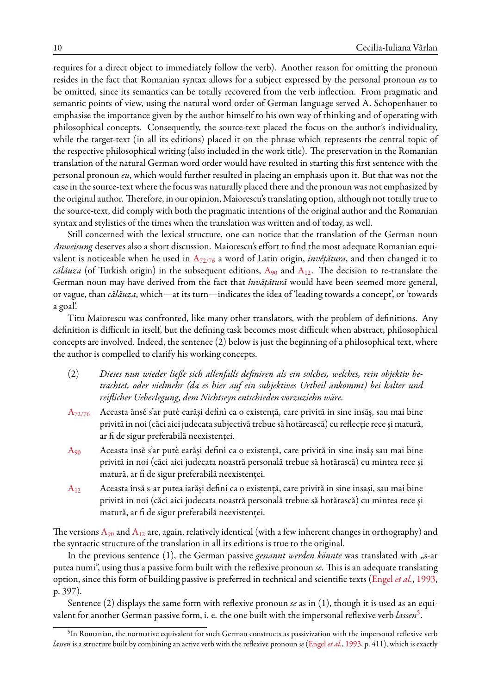requires for a direct object to immediately follow the verb). Another reason for omitting the pronoun resides in the fact that Romanian syntax allows for a subject expressed by the personal pronoun *eu* to be omitted, since its semantics can be totally recovered from the verb inflection. From pragmatic and semantic points of view, using the natural word order of German language served A. Schopenhauer to emphasise the importance given by the author himself to his own way of thinking and of operating with philosophical concepts. Consequently, the source-text placed the focus on the author's individuality, while the target-text (in all its editions) placed it on the phrase which represents the central topic of the respective philosophical writing (also included in the work title). The preservation in the Romanian translation of the natural German word order would have resulted in starting this first sentence with the personal pronoun *eu*, which would further resulted in placing an emphasis upon it. But that was not the case in the source-text where the focus was naturally placed there and the pronoun was not emphasized by the original author. Therefore, in our opinion, Maiorescu's translating option, although not totally true to the source-text, did comply with both the pragmatic intentions of the original author and the Romanian syntax and stylistics of the times when the translation was written and of today, as well.

Still concerned with the lexical structure, one can notice that the translation of the German noun *Anweisung* deserves also a short discussion. Maiorescu's effort to find the most adequate Romanian equivalent is noticeable when he used in A[72/76](#page-16-0) a word of Latin origin, *invěţătura*, and then changed it to *călăuza* (of Turkish origin) in the subsequent editions,  $A_{90}$  $A_{90}$  and  $A_{12}$ . The decision to re-translate the German noun may have derived from the fact that *învățătură* would have been seemed more general, or vague, than *călăuza*, which—at its turn—indicates the idea of 'leading towards a concept', or 'towards a goal'.

Titu Maiorescu was confronted, like many other translators, with the problem of definitions. Any definition is difficult in itself, but the defining task becomes most difficult when abstract, philosophical concepts are involved. Indeed, the sentence (2) below is just the beginning of a philosophical text, where the author is compelled to clarify his working concepts.

- (2) *Dieses nun wieder ließe sich allenfalls definiren als ein solches, welches, rein objektiv betrachtet, oder vielmehr (da es hier auf ein subjektives Urtheil ankommt) bei kalter und reiflicher Ueberlegung, dem Nichtseyn entschieden vorzuziehn wäre.*
- A[72/76](#page-16-0) Aceasta ănsě s'ar putè earăși definì ca o existență, care privită in sine insăș, sau mai bine privită in noi (căci aici judecata subjectivă trebue să hotărească) cu reflecție rece și matură, ar fi de sigur preferabilă neexistenței.
- [A](#page-16-2)<sup>90</sup> Aceasta insě s'ar putè earăși definì ca o existență, care privită in sine insăș sau mai bine privită in noi (căci aici judecata noastră personală trebue să hotărască) cu mintea rece și matură, ar fi de sigur preferabilă neexistenței.
- [A](#page-16-14)<sup>12</sup> Aceasta însă s-ar putea iarăși defini ca o existență, care privită in sine insași, sau mai bine privită in noi (căci aici judecata noastră personală trebue să hotărască) cu mintea rece și matură, ar fi de sigur preferabilă neexistenței.

The versions  $A_{90}$  $A_{90}$  and  $A_{12}$  are, again, relatively identical (with a few inherent changes in orthography) and the syntactic structure of the translation in all its editions is true to the original.

In the previous sentence (1), the German passive *genannt werden könnte* was translated with "s-ar putea numi", using thus a passive form built with the reflexive pronoun *se*. This is an adequate translating option, since this form of building passive is preferred in technical and scientific texts([Engel](#page-15-8) *et al.*, [1993](#page-15-8), p. 397).

Sentence (2) displays the same form with reflexive pronoun *se* as in (1), though it is used as an equivalent for another German passive form, i. e. the one built with the impersonal reflexive verb *lassen*[5](#page-9-0) .

<span id="page-9-0"></span> $^5$ In Romanian, the normative equivalent for such German constructs as passivization with the impersonal reflexive verb *lassen* is a structure built by combining an active verb with the reflexive pronoun *se* [\(Engel](#page-15-8) *et al.*, [1993](#page-15-8), p. 411), which is exactly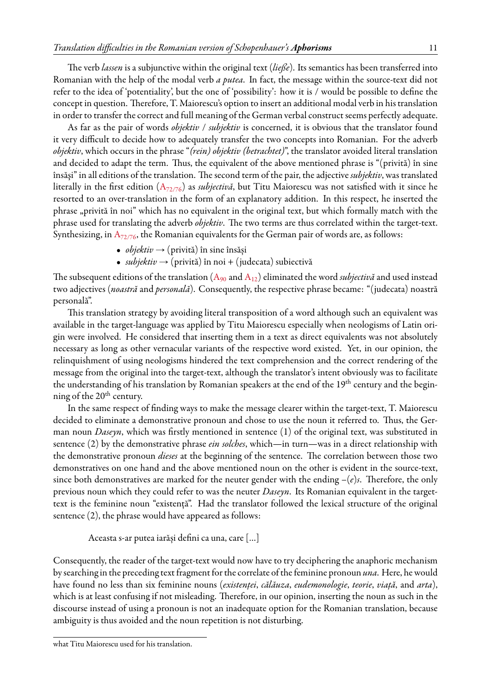The verb *lassen* is a subjunctive within the original text (*ließe*). Its semantics has been transferred into Romanian with the help of the modal verb *a putea*. In fact, the message within the source-text did not refer to the idea of 'potentiality', but the one of 'possibility': how it is / would be possible to define the concept in question. Therefore, T. Maiorescu's option to insert an additional modal verb in his translation in order to transfer the correct and full meaning of the German verbal construct seems perfectly adequate.

As far as the pair of words *objektiv* / *subjektiv* is concerned, it is obvious that the translator found it very difficult to decide how to adequately transfer the two concepts into Romanian. For the adverb *objektiv*, which occurs in the phrase "*(rein) objektiv (betrachtet)*", the translator avoided literal translation and decided to adapt the term. Thus, the equivalent of the above mentioned phrase is "(privită) în sine însăşi" in all editions of the translation. The second term of the pair, the adjective*subjektiv*, was translated literally in the first edition (A[72/76](#page-16-0)) as *subjectivă*, but Titu Maiorescu was not satisfied with it since he resorted to an over-translation in the form of an explanatory addition. In this respect, he inserted the phrase "privită în noi" which has no equivalent in the original text, but which formally match with the phrase used for translating the adverb *objektiv*. The two terms are thus correlated within the target-text. Synthesizing, in  $A_{72/76}$  $A_{72/76}$  $A_{72/76}$ , the Romanian equivalents for the German pair of words are, as follows:

- $\bullet$  *objektiv*  $\rightarrow$  (privită) în sine însăși
- $\bullet$  *subjektiv*  $\rightarrow$  (privită) în noi + (judecata) subiectivă

Thesubsequent editions of the translation  $(A_{90}$  $(A_{90}$  $(A_{90}$  and  $A_{12})$  eliminated the word *subjectivă* and used instead two adjectives (*noastră* and *personală*). Consequently, the respective phrase became: "(judecata) noastră personală".

This translation strategy by avoiding literal transposition of a word although such an equivalent was available in the target-language was applied by Titu Maiorescu especially when neologisms of Latin origin were involved. He considered that inserting them in a text as direct equivalents was not absolutely necessary as long as other vernacular variants of the respective word existed. Yet, in our opinion, the relinquishment of using neologisms hindered the text comprehension and the correct rendering of the message from the original into the target-text, although the translator's intent obviously was to facilitate the understanding of his translation by Romanian speakers at the end of the 19<sup>th</sup> century and the beginning of the  $20<sup>th</sup>$  century.

In the same respect of finding ways to make the message clearer within the target-text, T. Maiorescu decided to eliminate a demonstrative pronoun and chose to use the noun it referred to. Thus, the German noun *Daseyn*, which was firstly mentioned in sentence (1) of the original text, was substituted in sentence (2) by the demonstrative phrase *ein solches*, which—in turn—was in a direct relationship with the demonstrative pronoun *dieses* at the beginning of the sentence. The correlation between those two demonstratives on one hand and the above mentioned noun on the other is evident in the source-text, since both demonstratives are marked for the neuter gender with the ending *–*(*e*)*s*. Therefore, the only previous noun which they could refer to was the neuter *Daseyn*. Its Romanian equivalent in the targettext is the feminine noun "existenţă". Had the translator followed the lexical structure of the original sentence (2), the phrase would have appeared as follows:

Aceasta s-ar putea iarăși defini ca una, care […]

Consequently, the reader of the target-text would now have to try deciphering the anaphoric mechanism by searching in the preceding text fragment for the correlate of the feminine pronoun *una*. Here, he would have found no less than six feminine nouns (*existenţei*, *călăuza*, *eudemonologie*, *teorie*, *viaţă*, and *arta*), which is at least confusing if not misleading. Therefore, in our opinion, inserting the noun as such in the discourse instead of using a pronoun is not an inadequate option for the Romanian translation, because ambiguity is thus avoided and the noun repetition is not disturbing.

what Titu Maiorescu used for his translation.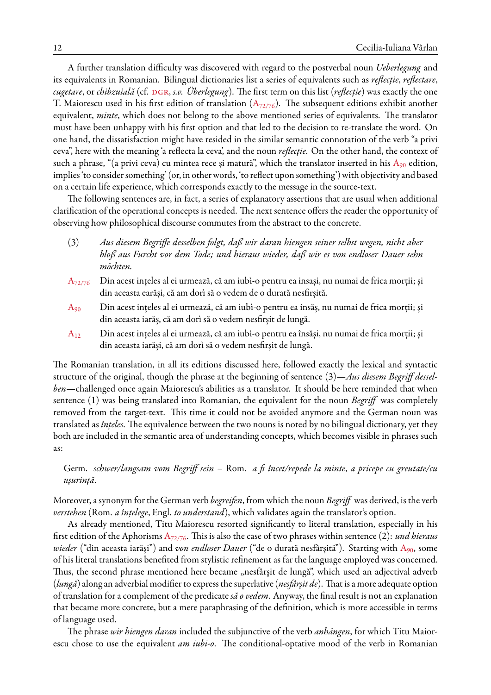A further translation difficulty was discovered with regard to the postverbal noun *Ueberlegung* and its equivalents in Romanian. Bilingual dictionaries list a series of equivalents such as *reflecţie*, *reflectare*, *cugetare*, or *chibzuială* (cf. DGR, *s.v. Überlegung*). The first term on this list (*reflecție*) was exactly the one T. Maiorescu used in his first edition of translation  $(A_{72/76})$  $(A_{72/76})$  $(A_{72/76})$ . The subsequent editions exhibit another equivalent, *minte*, which does not belong to the above mentioned series of equivalents. The translator must have been unhappy with his first option and that led to the decision to re-translate the word. On one hand, the dissatisfaction might have resided in the similar semantic connotation of the verb "a privi ceva", here with the meaning 'a reflecta la ceva', and the noun *reflecţie*. On the other hand, the context of such a phrase, "(a privi ceva) cu mintea rece și matură", which the translator inserted in his  $A_{90}$  $A_{90}$  edition, implies 'to consider something' (or, in other words, 'to reflect upon something') with objectivity and based on a certain life experience, which corresponds exactly to the message in the source-text.

The following sentences are, in fact, a series of explanatory assertions that are usual when additional clarification of the operational concepts is needed. The next sentence offers the reader the opportunity of observing how philosophical discourse commutes from the abstract to the concrete.

- (3) *Aus diesem Begriffe desselben folgt, daß wir daran hiengen seiner selbst wegen, nicht aber bloß aus Furcht vor dem Tode; und hieraus wieder, daß wir es von endloser Dauer sehn möchten.*
- A<sub>[72/76](#page-16-0)</sub> Din acest ințeles al ei urmează, că am iubì-o pentru ea insași, nu numai de frica morții; și din aceasta earăși, că am dorì să o vedem de o durată nesfirșită.
- $A_{90}$  $A_{90}$  Din acest ințeles al ei urmează, că am iubì-o pentru ea insăș, nu numai de frica morții; și din aceasta iarăș, că am dorì să o vedem nesfirșit de lungă.
- $A_{12}$  $A_{12}$  Din acest ințeles al ei urmează, că am iubì-o pentru ea însăși, nu numai de frica morții; și din aceasta iarăși, că am dorì să o vedem nesfirșit de lungă.

The Romanian translation, in all its editions discussed here, followed exactly the lexical and syntactic structure of the original, though the phrase at the beginning of sentence (3)—*Aus diesem Begriff desselben*—challenged once again Maiorescu's abilities as a translator. It should be here reminded that when sentence (1) was being translated into Romanian, the equivalent for the noun *Begriff* was completely removed from the target-text. This time it could not be avoided anymore and the German noun was translated as *înţeles*. The equivalence between the two nouns is noted by no bilingual dictionary, yet they both are included in the semantic area of understanding concepts, which becomes visible in phrases such as:

Germ. *schwer/langsam vom Begriff sein* – Rom. *a fi încet/repede la minte*, *a pricepe cu greutate/cu ușurință*.

Moreover, a synonym for the German verb *begreifen*, from which the noun *Begriff* was derived, is the verb *verstehen* (Rom. *a înţelege*, Engl. *to understand*), which validates again the translator's option.

As already mentioned, Titu Maiorescu resorted significantly to literal translation, especially in his first edition of the Aphorisms A[72/76](#page-16-0). This is also the case of two phrases within sentence (2): *und hieraus wieder* ("din aceasta iarăşi") and *von endloser Dauer* ("de o durată nesfârşită"). Starting with [A](#page-16-2)90, some of his literal translations benefited from stylistic refinement as far the language employed was concerned. Thus, the second phrase mentioned here became "nesfârșit de lungă", which used an adjectival adverb (*lungă*) along an adverbial modifier to express the superlative (*nesfârşit de*). That is a more adequate option of translation for a complement of the predicate*să o vedem*. Anyway, the final result is not an explanation that became more concrete, but a mere paraphrasing of the definition, which is more accessible in terms of language used.

The phrase *wir hiengen daran* included the subjunctive of the verb *anhängen*, for which Titu Maiorescu chose to use the equivalent *am iubi-o*. The conditional-optative mood of the verb in Romanian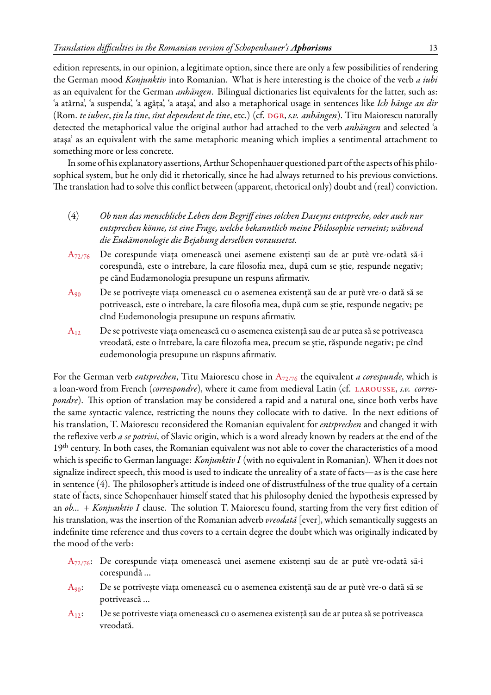edition represents, in our opinion, a legitimate option, since there are only a few possibilities of rendering the German mood *Konjunktiv* into Romanian. What is here interesting is the choice of the verb *a iubi* as an equivalent for the German *anhängen*. Bilingual dictionaries list equivalents for the latter, such as: 'a atârna', 'a suspenda', 'a agăţa', 'a ataşa', and also a metaphorical usage in sentences like *Ich hänge an dir* (Rom. *te iubesc*, *ţin la tine*, *sînt dependent de tine*, etc.) (cf. [dgr](#page-15-11), *s.v. anhängen*). Titu Maiorescu naturally detected the metaphorical value the original author had attached to the verb *anhängen* and selected 'a ataşa' as an equivalent with the same metaphoric meaning which implies a sentimental attachment to something more or less concrete.

In some of his explanatory assertions, Arthur Schopenhauer questioned part of the aspects of his philosophical system, but he only did it rhetorically, since he had always returned to his previous convictions. The translation had to solve this conflict between (apparent, rhetorical only) doubt and (real) conviction.

- (4) *Ob nun das menschliche Leben dem Begriff eines solchen Daseyns entspreche, oder auch nur entsprechen könne, ist eine Frage, welche bekanntlich meine Philosophie verneint; während die Eudämonologie die Bejahung derselben voraussetzt.*
- A[72/76](#page-16-0) De corespunde viața omenească unei asemene existenți sau de ar putè vre-odată să-i corespundă, este o intrebare, la care filosofia mea, după cum se știe, respunde negativ; pe cănd Eudæmonologia presupune un respuns afirmativ.
- [A](#page-16-2)<sub>90</sub> De se potrivește viața omenească cu o asemenea existență sau de ar putè vre-o dată să se potrivească, este o intrebare, la care filosofia mea, după cum se știe, respunde negativ; pe cînd Eudemonologia presupune un respuns afirmativ.
- $A_{12}$  $A_{12}$  De se potriveste viața omenească cu o asemenea existență sau de ar putea să se potriveasca vreodată, este o întrebare, la care filozofia mea, precum se știe, răspunde negativ; pe cînd eudemonologia presupune un răspuns afirmativ.

For the German verb *entsprechen*, Titu Maiorescu chose in A[72/76](#page-16-0) the equivalent *a corespunde*, which is a loan-word from French (*correspondre*), where it came from medieval Latin (cf. [larousse,](#page-16-15) *s.v. correspondre*). This option of translation may be considered a rapid and a natural one, since both verbs have the same syntactic valence, restricting the nouns they collocate with to dative. In the next editions of his translation, T. Maiorescu reconsidered the Romanian equivalent for *entsprechen* and changed it with the reflexive verb *a se potrivi*, of Slavic origin, which is a word already known by readers at the end of the 19<sup>th</sup> century. In both cases, the Romanian equivalent was not able to cover the characteristics of a mood which is specific to German language: *Konjunktiv I* (with no equivalent in Romanian). When it does not signalize indirect speech, this mood is used to indicate the unreality of a state of facts—as is the case here in sentence (4). The philosopher's attitude is indeed one of distrustfulness of the true quality of a certain state of facts, since Schopenhauer himself stated that his philosophy denied the hypothesis expressed by an *ob...* + *Konjunktiv I* clause. The solution T. Maiorescu found, starting from the very first edition of his translation, was the insertion of the Romanian adverb *vreodată* [ever], which semantically suggests an indefinite time reference and thus covers to a certain degree the doubt which was originally indicated by the mood of the verb:

- A[72/76](#page-16-0): De corespunde viața omenească unei asemene existenți sau de ar putè vre-odată să-i corespundă …
- [A](#page-16-2)90: De se potrivește viața omenească cu o asemenea existență sau de ar putè vre-o dată să se potrivească …
- [A](#page-16-14)12: De se potriveste viața omenească cu o asemenea existență sau de ar putea să se potriveasca vreodată.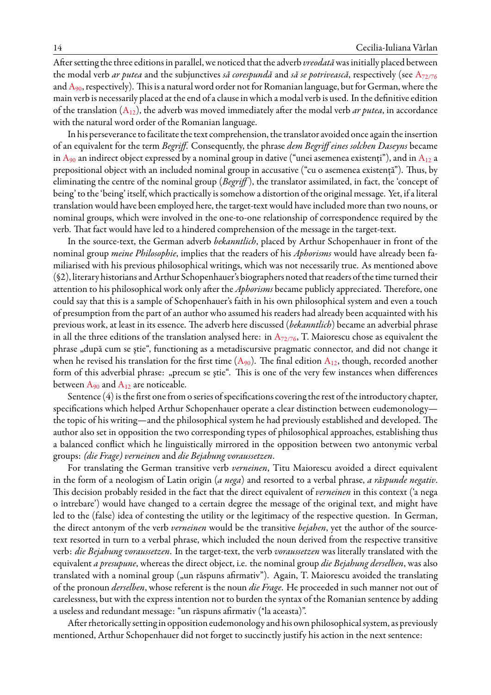After setting the three editions in parallel, we noticed that the adverb *vreodată* was initially placed between the modal verb *ar putea* and the subjunctives *să corespundă* and *să se potrivească*, respectively (see A[72/76](#page-16-0) and  $A_{90}$  $A_{90}$ , respectively). This is a natural word order not for Romanian language, but for German, where the main verb is necessarily placed at the end of a clause in which a modal verb is used. In the definitive edition of the translation([A](#page-16-14)12), the adverb was moved immediately after the modal verb *ar putea*, in accordance with the natural word order of the Romanian language.

In his perseverance tofacilitate the text comprehension, the translator avoided once again the insertion of an equivalent for the term *Begriff*. Consequently, the phrase *dem Begriff eines solchen Daseyns* became in  $A_{90}$  $A_{90}$  an indirect object expressed by a nominal group in dative ("unei asemenea existenți"), and in  $A_{12}$  a prepositional object with an included nominal group in accusative ("cu o asemenea existenţă"). Thus, by eliminating the centre of the nominal group (*Begriff* ), the translator assimilated, in fact, the 'concept of being' to the 'being' itself, which practically is somehow a distortion of the original message. Yet, if a literal translation would have been employed here, the target-text would have included more than two nouns, or nominal groups, which were involved in the one-to-one relationship of correspondence required by the verb. That fact would have led to a hindered comprehension of the message in the target-text.

In the source-text, the German adverb *bekanntlich*, placed by Arthur Schopenhauer in front of the nominal group *meine Philosophie*, implies that the readers of his *Aphorisms* would have already been familiarised with his previous philosophical writings, which was not necessarily true. As mentioned above (§2), literary historians and Arthur Schopenhauer's biographers noted that readers of the time turned their attention to his philosophical work only after the *Aphorisms* became publicly appreciated. Therefore, one could say that this is a sample of Schopenhauer's faith in his own philosophical system and even a touch of presumption from the part of an author who assumed his readers had already been acquainted with his previous work, at least in its essence. The adverb here discussed (*bekanntlich*) became an adverbial phrase in all the three editions of the translation analysed here: in  $A_{72/76}$  $A_{72/76}$  $A_{72/76}$ , T. Maiorescu chose as equivalent the phrase "după cum se știe", functioning as a metadiscursive pragmatic connector, and did not change it whenhe revised his translation for the first time  $(A_{90})$  $(A_{90})$  $(A_{90})$ . The final edition  $A_{12}$ , though, recorded another form of this adverbial phrase: "precum se ştie". This is one of the very few instances when differences between  $A_{90}$  $A_{90}$  and  $A_{12}$  are noticeable.

Sentence (4) is the first one from o series of specifications covering the rest of the introductory chapter, specifications which helped Arthur Schopenhauer operate a clear distinction between eudemonology the topic of his writing—and the philosophical system he had previously established and developed. The author also set in opposition the two corresponding types of philosophical approaches, establishing thus a balanced conflict which he linguistically mirrored in the opposition between two antonymic verbal groups: *(die Frage) verneinen* and *die Bejahung voraussetzen*.

For translating the German transitive verb *verneinen*, Titu Maiorescu avoided a direct equivalent in the form of a neologism of Latin origin (*a nega*) and resorted to a verbal phrase, *a răspunde negativ*. This decision probably resided in the fact that the direct equivalent of *verneinen* in this context ('a nega o întrebare') would have changed to a certain degree the message of the original text, and might have led to the (false) idea of contesting the utility or the legitimacy of the respective question. In German, the direct antonym of the verb *verneinen* would be the transitive *bejahen*, yet the author of the sourcetext resorted in turn to a verbal phrase, which included the noun derived from the respective transitive verb: *die Bejahung voraussetzen*. In the target-text, the verb *voraussetzen* was literally translated with the equivalent *a presupune*, whereas the direct object, i.e. the nominal group *die Bejahung derselben*, was also translated with a nominal group ("un răspuns afirmativ"). Again, T. Maiorescu avoided the translating of the pronoun *derselben*, whose referent is the noun *die Frage*. He proceeded in such manner not out of carelessness, but with the express intention not to burden the syntax of the Romanian sentence by adding a useless and redundant message: "un răspuns afirmativ (\*la aceasta)".

After rhetorically setting in opposition eudemonology and his own philosophical system, as previously mentioned, Arthur Schopenhauer did not forget to succinctly justify his action in the next sentence: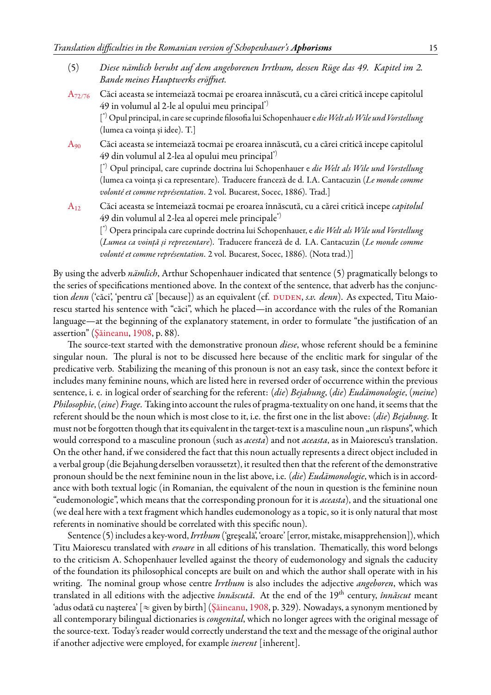- (5) *Diese nämlich beruht auf dem angeborenen Irrthum, dessen Rüge das 49. Kapitel im 2. Bande meines Hauptwerks eröffnet.*
- A[72/76](#page-16-0) Căci aceasta se intemeiază tocmai pe eroarea innăscută, cu a cărei critică incepe capitolul 49 in volumul al 2-le al opului meu principal\*) [ \*) Opul principal, in care se cuprinde filosofia lui Schopenhauer e *dieWelt alsWile und Vorstellung* (lumea ca voința și idee). T.]
- [A](#page-16-2)<sup>90</sup> Căci aceasta se intemeiază tocmai pe eroarea innăscută, cu a cărei critică incepe capitolul 49 din volumul al 2-lea al opului meu principal\*) [ \*) Opul principal, care cuprinde doctrina lui Schopenhauer e *die Welt als Wile und Vorstellung* (lumea ca voința și ca representare). Traducere franceză de d. I.A. Cantacuzin (*Le monde comme volonté et comme représentation*. 2 vol. Bucarest, Socec, 1886). Trad.]
- [A](#page-16-14)<sup>12</sup> Căci aceasta se întemeiază tocmai pe eroarea înnăscută, cu a cărei critică incepe *capitolul* 49 din volumul al 2-lea al operei mele principale\*)

[ \*) Opera principala care cuprinde doctrina lui Schopenhauer, e *die Welt als Wile und Vorstellung* (*Lumea ca voință și reprezentare*). Traducere franceză de d. I.A. Cantacuzin (*Le monde comme volonté et comme représentation*. 2 vol. Bucarest, Socec, 1886). (Nota trad.)]

By using the adverb *nämlich*, Arthur Schopenhauer indicated that sentence (5) pragmatically belongs to the series of specifications mentioned above. In the context of the sentence, that adverb has the conjunction *denn* ('căci', 'pentru că' [because]) as an equivalent (cf. DUDEN, *s.v. denn*). As expected, Titu Maiorescu started his sentence with "căci", which he placed—in accordance with the rules of the Romanian language—at the beginning of the explanatory statement, in order to formulate "the justification of an assertion"([Şăineanu,](#page-16-16) [1908,](#page-16-16) p. 88).

The source-text started with the demonstrative pronoun *diese*, whose referent should be a feminine singular noun. The plural is not to be discussed here because of the enclitic mark for singular of the predicative verb. Stabilizing the meaning of this pronoun is not an easy task, since the context before it includes many feminine nouns, which are listed here in reversed order of occurrence within the previous sentence, i. e. in logical order of searching for the referent: (*die*) *Bejahung*, (*die*) *Eudämonologie*, (*meine*) *Philosophie*, (*eine*) *Frage*. Taking into account the rules of pragma-textuality on one hand, it seems that the referent should be the noun which is most close to it, i.e. the first one in the list above: (*die*) *Bejahung*. It must not be forgotten though that its equivalent in the target-text is a masculine noun "un răspuns", which would correspond to a masculine pronoun (such as *acesta*) and not *aceasta*, as in Maiorescu's translation. On the other hand, if we considered the fact that this noun actually represents a direct object included in a verbal group (die Bejahung derselben voraussetzt), it resulted then that the referent of the demonstrative pronoun should be the next feminine noun in the list above, i.e. (*die*) *Eudämonologie*, which is in accordance with both textual logic (in Romanian, the equivalent of the noun in question is the feminine noun "eudemonologie", which means that the corresponding pronoun for it is *aceasta*), and the situational one (we deal here with a text fragment which handles eudemonology as a topic, so it is only natural that most referents in nominative should be correlated with this specific noun).

Sentence (5) includes a key-word,*Irrthum*('greşeală', 'eroare' [error, mistake, misapprehension]), which Titu Maiorescu translated with *eroare* in all editions of his translation. Thematically, this word belongs to the criticism A. Schopenhauer levelled against the theory of eudemonology and signals the caducity of the foundation its philosophical concepts are built on and which the author shall operate with in his writing. The nominal group whose centre *Irrthum* is also includes the adjective *angeboren*, which was translated in all editions with the adjective *înnăscută*. At the end of the 19th century, *înnăscut* meant 'adusodată cu nașterea' [ $\approx$  given by birth] ([Şăineanu,](#page-16-16) [1908,](#page-16-16) p. 329). Nowadays, a synonym mentioned by all contemporary bilingual dictionaries is *congenital*, which no longer agrees with the original message of the source-text. Today's reader would correctly understand the text and the message of the original author if another adjective were employed, for example *inerent* [inherent].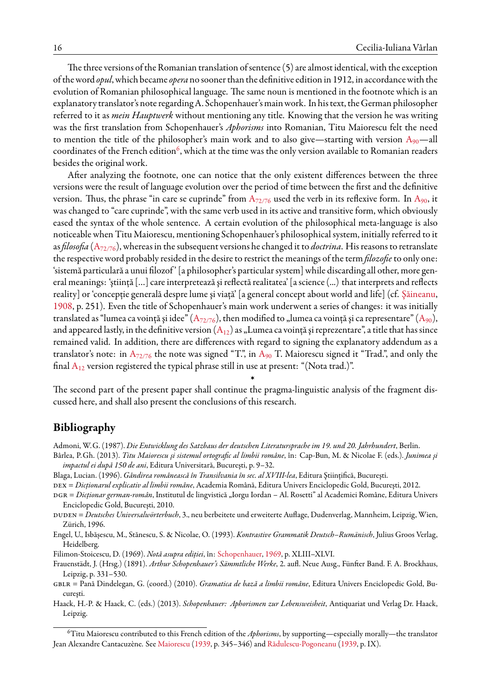The three versions of the Romanian translation of sentence (5) are almost identical, with the exception of the word *opul*, which became *opera* no sooner than the definitive edition in 1912, in accordance with the evolution of Romanian philosophical language. The same noun is mentioned in the footnote which is an explanatory translator's note regardingA. Schopenhauer's main work. In his text, the German philosopher referred to it as *mein Hauptwerk* without mentioning any title. Knowing that the version he was writing was the first translation from Schopenhauer's *Aphorisms* into Romanian, Titu Maiorescu felt the need to mention the title of the philosopher's main work and to also give—starting with version  $A_{90}$  $A_{90}$ —all coordinates of the French edition<sup>[6](#page-15-12)</sup>, which at the time was the only version available to Romanian readers besides the original work.

After analyzing the footnote, one can notice that the only existent differences between the three versions were the result of language evolution over the period of time between the first and the definitive version. Thus, the phrase "in care se cuprinde" from  $A_{72/76}$  $A_{72/76}$  $A_{72/76}$  used the verb in its reflexive form. In  $A_{90}$  $A_{90}$ , it was changed to "care cuprinde", with the same verb used in its active and transitive form, which obviously eased the syntax of the whole sentence. A certain evolution of the philosophical meta-language is also noticeable when Titu Maiorescu, mentioning Schopenhauer's philosophical system, initially referred to it as *filosofia* (A[72/76](#page-16-0)), whereas in the subsequent versions he changed it to *doctrina*. His reasons to retranslate the respective word probably resided in the desire to restrict the meanings of the term *filozofie*to only one: 'sistemă particulară a unui filozof ' [a philosopher's particular system] while discarding all other, more general meanings: 'ştiinţă […] care interpretează şi reflectă realitatea' [a science (...) that interprets and reflects reality] or 'concepţie generală despre lume şi viaţă' [a general concept about world and life] (cf. [Şăineanu](#page-16-16), [1908,](#page-16-16) p. 251). Even the title of Schopenhauer's main work underwent a series of changes: it was initially translated as "lumea ca voință și idee" (A<sub>[72/76](#page-16-0)</sub>),then modified to "lumea ca voință și ca representare" ([A](#page-16-2)<sub>90</sub>), andappeared lastly, in the definitive version  $(A_{12})$  $(A_{12})$  $(A_{12})$  as "Lumea ca voință și reprezentare", a title that has since remained valid. In addition, there are differences with regard to signing the explanatory addendum as a translator's note: in  $A_{72/76}$  $A_{72/76}$  $A_{72/76}$  the note was signed "T.", in  $A_{90}$  $A_{90}$  T. Maiorescu signed it "Trad.", and only the final  $A_{12}$  $A_{12}$  version registered the typical phrase still in use at present: "(Nota trad.)".

The second part of the present paper shall continue the pragma-linguistic analysis of the fragment discussed here, and shall also present the conclusions of this research.

 $\ast$ 

## <span id="page-15-0"></span>**Bibliography**

<span id="page-15-10"></span>Admoni, W.G. (1987). *Die Entwicklung des Satzbaus der deutschen Literatursprache im 19. und 20. Jahrhundert*, Berlin.

- <span id="page-15-4"></span>Bârlea, P.Gh. (2013). *Titu Maiorescu şi sistemul ortografic al limbii române*, în: Cap-Bun, M. & Nicolae F. (eds.). *Junimea şi impactul ei după 150 de ani*, Editura Universitară, Bucureşti, p. 9–32.
- <span id="page-15-3"></span>Blaga, Lucian. (1996). *Gândirea românească în Transilvania în sec. al XVIII-lea*, Editura Ştiinţifică, Bucureşti.
- <span id="page-15-7"></span>dex = *Dicţionarul explicativ al limbii române*, Academia Română, Editura Univers Enciclopedic Gold, Bucureşti, 2012.
- <span id="page-15-11"></span>dgr = *Dicţionar german-român*, Institutul de lingvistică "Iorgu Iordan – Al. Rosetti" al Academiei Române, Editura Univers Enciclopedic Gold, Bucureşti, 2010.

<span id="page-15-6"></span>duden = *Deutsches Universalwörterbuch*, 3., neu berbeitete und erweiterte Auflage, Dudenverlag, Mannheim, Leipzig, Wien, Zürich, 1996.

<span id="page-15-8"></span>Engel, U., Isbășescu, M., Stănescu, S. & Nicolae, O. (1993). *Kontrastive Grammatik Deutsch–Rumänisch*, Julius Groos Verlag, Heidelberg.

<span id="page-15-5"></span>Filimon-Stoicescu, D. (1969). *Notă asupra ediţiei*, în: [Schopenhauer,](#page-16-3) [1969,](#page-16-3) p. XLIII–XLVI.

<span id="page-15-1"></span>Frauenstädt, J. (Hrsg.) (1891). *Arthur Schopenhauer's Sämmtliche Werke*, 2. aufl. Neue Ausg., Fünfter Band. F. A. Brockhaus, Leipzig, p. 331–530.

<span id="page-15-9"></span>gblr = Pană Dindelegan, G. (coord.) (2010). *Gramatica de bază a limbii române*, Editura Univers Enciclopedic Gold, Bucureşti.

<span id="page-15-2"></span>Haack, H.-P. & Haack, C. (eds.) (2013). *Schopenhauer: Aphorismen zur Lebensweisheit*, Antiquariat und Verlag Dr. Haack, Leipzig.

<span id="page-15-12"></span><sup>6</sup>Titu Maiorescu contributed to this French edition of the *Aphorisms*, by supporting—especially morally—the translator Jean Alexandre Cantacuzène. See [Maiorescu](#page-16-17) ([1939](#page-16-17), p. 345–346) and [Rădulescu-Pogoneanu](#page-16-18) [\(1939,](#page-16-18) p. IX).